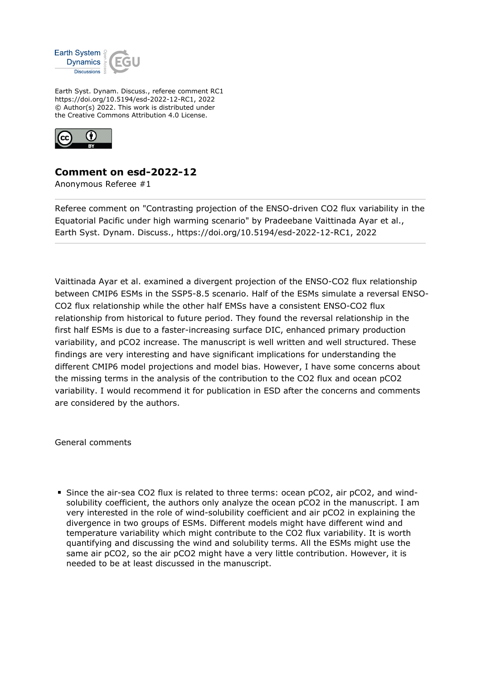

Earth Syst. Dynam. Discuss., referee comment RC1 https://doi.org/10.5194/esd-2022-12-RC1, 2022 © Author(s) 2022. This work is distributed under the Creative Commons Attribution 4.0 License.



## **Comment on esd-2022-12**

Anonymous Referee #1

Referee comment on "Contrasting projection of the ENSO-driven CO2 flux variability in the Equatorial Pacific under high warming scenario" by Pradeebane Vaittinada Ayar et al., Earth Syst. Dynam. Discuss., https://doi.org/10.5194/esd-2022-12-RC1, 2022

Vaittinada Ayar et al. examined a divergent projection of the ENSO-CO2 flux relationship between CMIP6 ESMs in the SSP5-8.5 scenario. Half of the ESMs simulate a reversal ENSO-CO2 flux relationship while the other half EMSs have a consistent ENSO-CO2 flux relationship from historical to future period. They found the reversal relationship in the first half ESMs is due to a faster-increasing surface DIC, enhanced primary production variability, and pCO2 increase. The manuscript is well written and well structured. These findings are very interesting and have significant implications for understanding the different CMIP6 model projections and model bias. However, I have some concerns about the missing terms in the analysis of the contribution to the CO2 flux and ocean pCO2 variability. I would recommend it for publication in ESD after the concerns and comments are considered by the authors.

General comments

Since the air-sea CO2 flux is related to three terms: ocean pCO2, air pCO2, and windsolubility coefficient, the authors only analyze the ocean pCO2 in the manuscript. I am very interested in the role of wind-solubility coefficient and air pCO2 in explaining the divergence in two groups of ESMs. Different models might have different wind and temperature variability which might contribute to the CO2 flux variability. It is worth quantifying and discussing the wind and solubility terms. All the ESMs might use the same air pCO2, so the air pCO2 might have a very little contribution. However, it is needed to be at least discussed in the manuscript.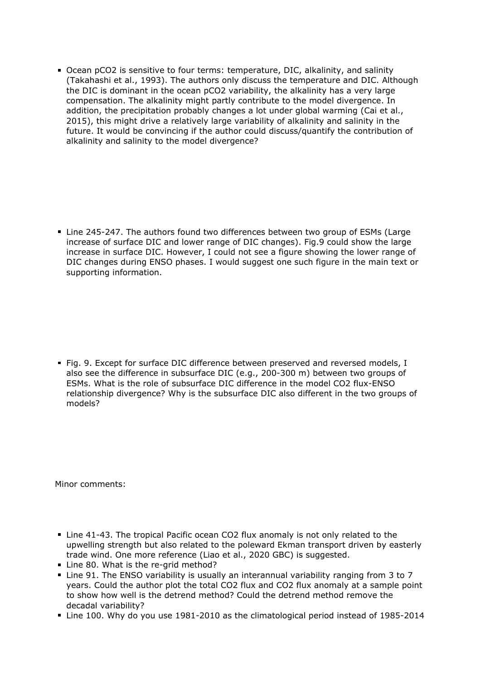Ocean pCO2 is sensitive to four terms: temperature, DIC, alkalinity, and salinity (Takahashi et al., 1993). The authors only discuss the temperature and DIC. Although the DIC is dominant in the ocean pCO2 variability, the alkalinity has a very large compensation. The alkalinity might partly contribute to the model divergence. In addition, the precipitation probably changes a lot under global warming (Cai et al., 2015), this might drive a relatively large variability of alkalinity and salinity in the future. It would be convincing if the author could discuss/quantify the contribution of alkalinity and salinity to the model divergence?

■ Line 245-247. The authors found two differences between two group of ESMs (Large increase of surface DIC and lower range of DIC changes). Fig.9 could show the large increase in surface DIC. However, I could not see a figure showing the lower range of DIC changes during ENSO phases. I would suggest one such figure in the main text or supporting information.

Fig. 9. Except for surface DIC difference between preserved and reversed models, I also see the difference in subsurface DIC (e.g., 200-300 m) between two groups of ESMs. What is the role of subsurface DIC difference in the model CO2 flux-ENSO relationship divergence? Why is the subsurface DIC also different in the two groups of models?

Minor comments:

- Line 41-43. The tropical Pacific ocean CO2 flux anomaly is not only related to the upwelling strength but also related to the poleward Ekman transport driven by easterly trade wind. One more reference (Liao et al., 2020 GBC) is suggested.
- Line 80. What is the re-grid method?
- Line 91. The ENSO variability is usually an interannual variability ranging from 3 to 7 years. Could the author plot the total CO2 flux and CO2 flux anomaly at a sample point to show how well is the detrend method? Could the detrend method remove the decadal variability?
- Line 100. Why do you use 1981-2010 as the climatological period instead of 1985-2014